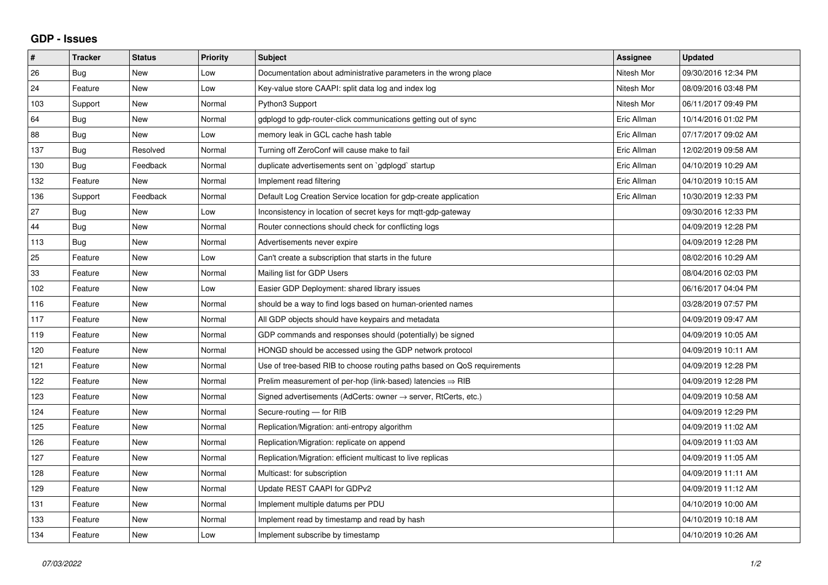## **GDP - Issues**

| $\pmb{\#}$ | <b>Tracker</b> | <b>Status</b> | <b>Priority</b> | <b>Subject</b>                                                          | Assignee    | <b>Updated</b>      |
|------------|----------------|---------------|-----------------|-------------------------------------------------------------------------|-------------|---------------------|
| 26         | Bug            | New           | Low             | Documentation about administrative parameters in the wrong place        | Nitesh Mor  | 09/30/2016 12:34 PM |
| 24         | Feature        | <b>New</b>    | Low             | Key-value store CAAPI: split data log and index log                     | Nitesh Mor  | 08/09/2016 03:48 PM |
| 103        | Support        | New           | Normal          | Python3 Support                                                         | Nitesh Mor  | 06/11/2017 09:49 PM |
| 64         | Bug            | <b>New</b>    | Normal          | gdplogd to gdp-router-click communications getting out of sync          | Eric Allman | 10/14/2016 01:02 PM |
| 88         | Bug            | <b>New</b>    | Low             | memory leak in GCL cache hash table                                     | Eric Allman | 07/17/2017 09:02 AM |
| 137        | <b>Bug</b>     | Resolved      | Normal          | Turning off ZeroConf will cause make to fail                            | Eric Allman | 12/02/2019 09:58 AM |
| 130        | Bug            | Feedback      | Normal          | duplicate advertisements sent on `gdplogd` startup                      | Eric Allman | 04/10/2019 10:29 AM |
| 132        | Feature        | <b>New</b>    | Normal          | Implement read filtering                                                | Eric Allman | 04/10/2019 10:15 AM |
| 136        | Support        | Feedback      | Normal          | Default Log Creation Service location for gdp-create application        | Eric Allman | 10/30/2019 12:33 PM |
| 27         | Bug            | <b>New</b>    | Low             | Inconsistency in location of secret keys for mgtt-gdp-gateway           |             | 09/30/2016 12:33 PM |
| 44         | Bug            | <b>New</b>    | Normal          | Router connections should check for conflicting logs                    |             | 04/09/2019 12:28 PM |
| 113        | Bug            | New           | Normal          | Advertisements never expire                                             |             | 04/09/2019 12:28 PM |
| 25         | Feature        | <b>New</b>    | Low             | Can't create a subscription that starts in the future                   |             | 08/02/2016 10:29 AM |
| 33         | Feature        | <b>New</b>    | Normal          | Mailing list for GDP Users                                              |             | 08/04/2016 02:03 PM |
| 102        | Feature        | New           | Low             | Easier GDP Deployment: shared library issues                            |             | 06/16/2017 04:04 PM |
| 116        | Feature        | <b>New</b>    | Normal          | should be a way to find logs based on human-oriented names              |             | 03/28/2019 07:57 PM |
| 117        | Feature        | <b>New</b>    | Normal          | All GDP objects should have keypairs and metadata                       |             | 04/09/2019 09:47 AM |
| 119        | Feature        | New           | Normal          | GDP commands and responses should (potentially) be signed               |             | 04/09/2019 10:05 AM |
| 120        | Feature        | <b>New</b>    | Normal          | HONGD should be accessed using the GDP network protocol                 |             | 04/09/2019 10:11 AM |
| 121        | Feature        | <b>New</b>    | Normal          | Use of tree-based RIB to choose routing paths based on QoS requirements |             | 04/09/2019 12:28 PM |
| 122        | Feature        | <b>New</b>    | Normal          | Prelim measurement of per-hop (link-based) latencies $\Rightarrow$ RIB  |             | 04/09/2019 12:28 PM |
| 123        | Feature        | <b>New</b>    | Normal          | Signed advertisements (AdCerts: owner → server, RtCerts, etc.)          |             | 04/09/2019 10:58 AM |
| 124        | Feature        | <b>New</b>    | Normal          | Secure-routing - for RIB                                                |             | 04/09/2019 12:29 PM |
| 125        | Feature        | New           | Normal          | Replication/Migration: anti-entropy algorithm                           |             | 04/09/2019 11:02 AM |
| 126        | Feature        | New           | Normal          | Replication/Migration: replicate on append                              |             | 04/09/2019 11:03 AM |
| 127        | Feature        | New           | Normal          | Replication/Migration: efficient multicast to live replicas             |             | 04/09/2019 11:05 AM |
| 128        | Feature        | <b>New</b>    | Normal          | Multicast: for subscription                                             |             | 04/09/2019 11:11 AM |
| 129        | Feature        | New           | Normal          | Update REST CAAPI for GDPv2                                             |             | 04/09/2019 11:12 AM |
| 131        | Feature        | <b>New</b>    | Normal          | Implement multiple datums per PDU                                       |             | 04/10/2019 10:00 AM |
| 133        | Feature        | New           | Normal          | Implement read by timestamp and read by hash                            |             | 04/10/2019 10:18 AM |
| 134        | Feature        | New           | Low             | Implement subscribe by timestamp                                        |             | 04/10/2019 10:26 AM |